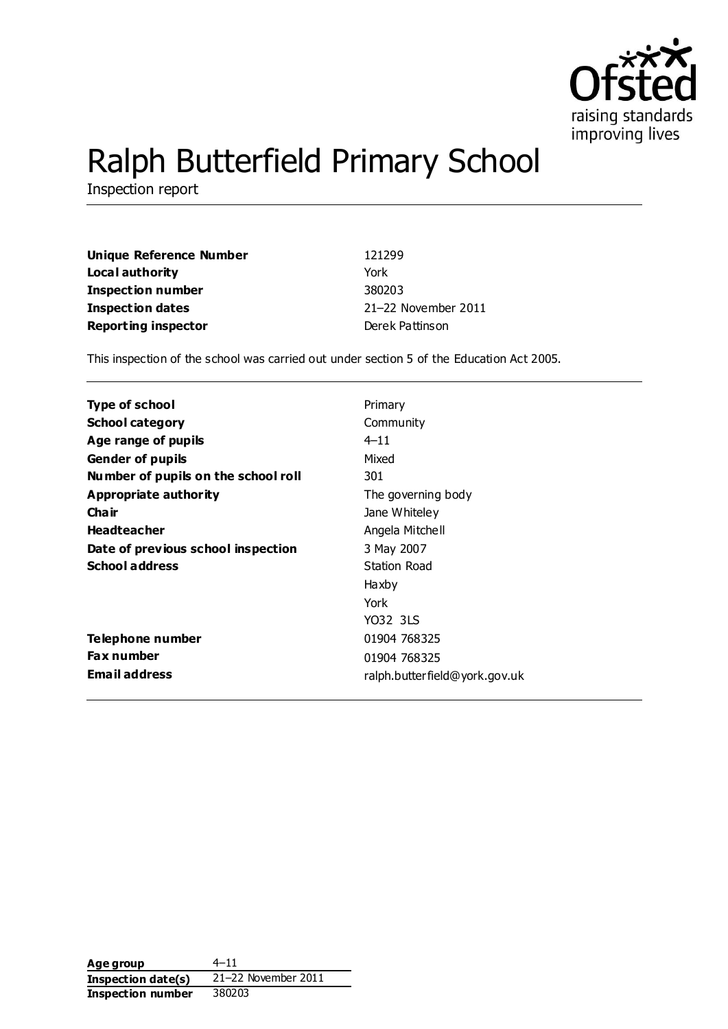

# Ralph Butterfield Primary School

Inspection report

| Unique Reference Number    | 121299              |
|----------------------------|---------------------|
| Local authority            | York                |
| <b>Inspection number</b>   | 380203              |
| <b>Inspection dates</b>    | 21-22 November 2011 |
| <b>Reporting inspector</b> | Derek Pattinson     |

This inspection of the school was carried out under section 5 of the Education Act 2005.

| <b>Type of school</b>               | Primary                       |
|-------------------------------------|-------------------------------|
| <b>School category</b>              | Community                     |
| Age range of pupils                 | $4 - 11$                      |
| <b>Gender of pupils</b>             | Mixed                         |
| Number of pupils on the school roll | 301                           |
| Appropriate authority               | The governing body            |
| Cha ir                              | Jane Whiteley                 |
| <b>Headteacher</b>                  | Angela Mitchell               |
| Date of previous school inspection  | 3 May 2007                    |
| <b>School address</b>               | <b>Station Road</b>           |
|                                     | Haxby                         |
|                                     | York                          |
|                                     | YO32 3LS                      |
| Telephone number                    | 01904 768325                  |
| <b>Fax number</b>                   | 01904 768325                  |
| <b>Email address</b>                | ralph.butterfield@york.gov.uk |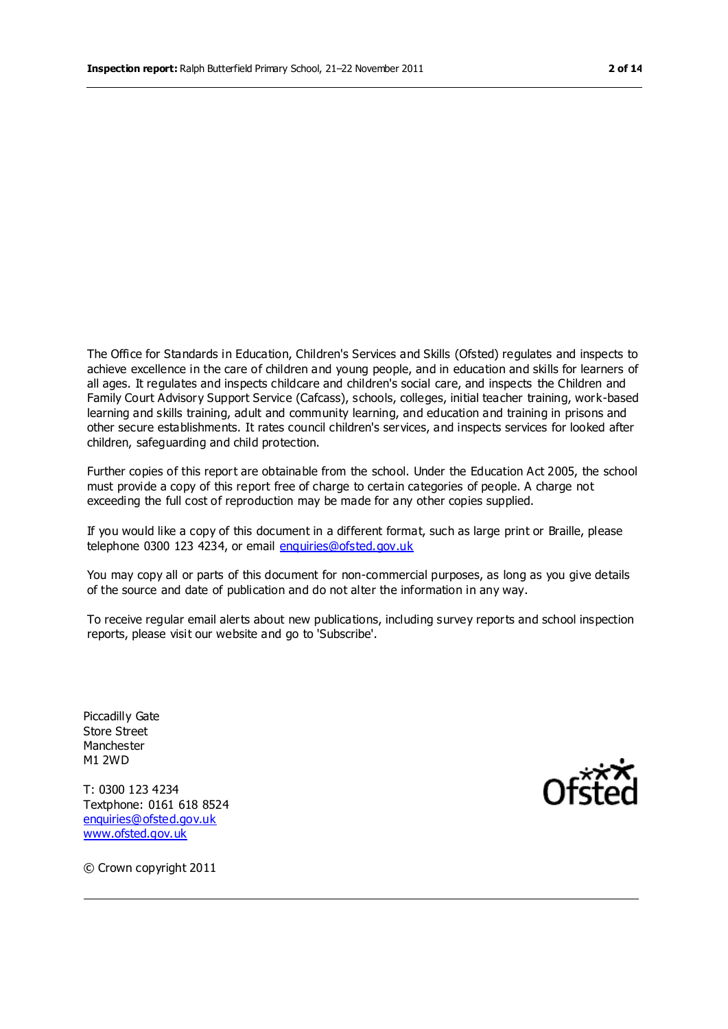The Office for Standards in Education, Children's Services and Skills (Ofsted) regulates and inspects to achieve excellence in the care of children and young people, and in education and skills for learners of all ages. It regulates and inspects childcare and children's social care, and inspects the Children and Family Court Advisory Support Service (Cafcass), schools, colleges, initial teacher training, work-based learning and skills training, adult and community learning, and education and training in prisons and other secure establishments. It rates council children's services, and inspects services for looked after children, safeguarding and child protection.

Further copies of this report are obtainable from the school. Under the Education Act 2005, the school must provide a copy of this report free of charge to certain categories of people. A charge not exceeding the full cost of reproduction may be made for any other copies supplied.

If you would like a copy of this document in a different format, such as large print or Braille, please telephone 0300 123 4234, or email [enquiries@ofsted.gov.uk](mailto:enquiries@ofsted.gov.uk)

You may copy all or parts of this document for non-commercial purposes, as long as you give details of the source and date of publication and do not alter the information in any way.

To receive regular email alerts about new publications, including survey reports and school inspection reports, please visit our website and go to 'Subscribe'.

Piccadilly Gate Store Street Manchester M1 2WD

T: 0300 123 4234 Textphone: 0161 618 8524 [enquiries@ofsted.gov.uk](mailto:enquiries@ofsted.gov.uk) [www.ofsted.gov.uk](http://www.ofsted.gov.uk/)



© Crown copyright 2011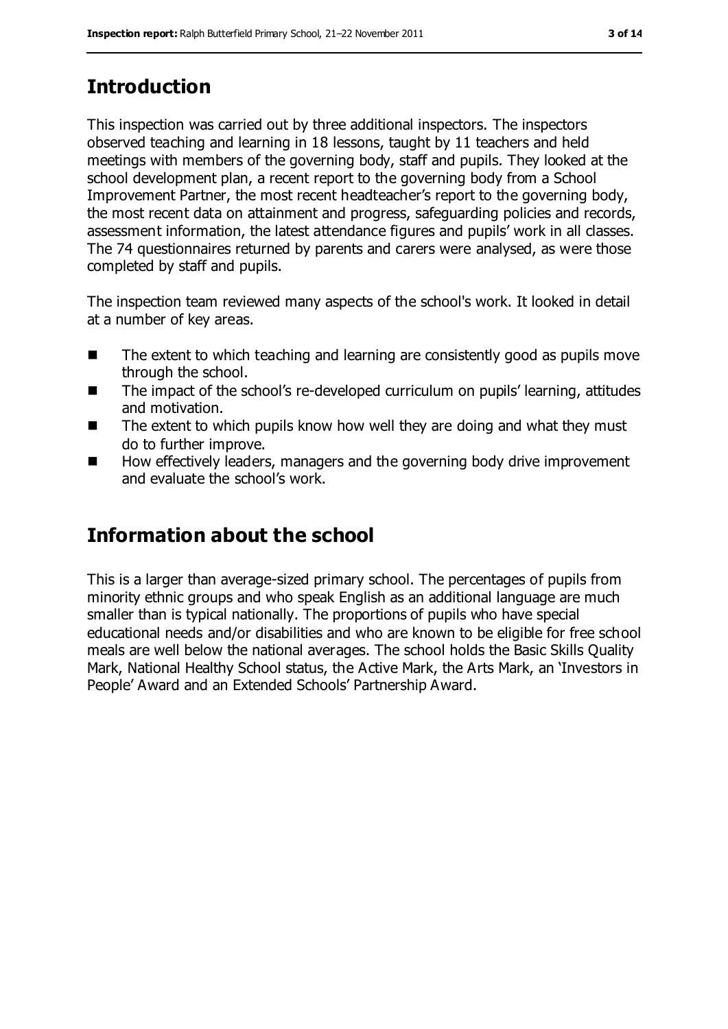# **Introduction**

This inspection was carried out by three additional inspectors. The inspectors observed teaching and learning in 18 lessons, taught by 11 teachers and held meetings with members of the governing body, staff and pupils. They looked at the school development plan, a recent report to the governing body from a School Improvement Partner, the most recent headteacher's report to the governing body, the most recent data on attainment and progress, safeguarding policies and records, assessment information, the latest attendance figures and pupils' work in all classes. The 74 questionnaires returned by parents and carers were analysed, as were those completed by staff and pupils.

The inspection team reviewed many aspects of the school's work. It looked in detail at a number of key areas.

- The extent to which teaching and learning are consistently good as pupils move through the school.
- The impact of the school's re-developed curriculum on pupils' learning, attitudes and motivation.
- $\blacksquare$  The extent to which pupils know how well they are doing and what they must do to further improve.
- How effectively leaders, managers and the governing body drive improvement and evaluate the school's work.

# **Information about the school**

This is a larger than average-sized primary school. The percentages of pupils from minority ethnic groups and who speak English as an additional language are much smaller than is typical nationally. The proportions of pupils who have special educational needs and/or disabilities and who are known to be eligible for free school meals are well below the national averages. The school holds the Basic Skills Quality Mark, National Healthy School status, the Active Mark, the Arts Mark, an 'Investors in People' Award and an Extended Schools' Partnership Award.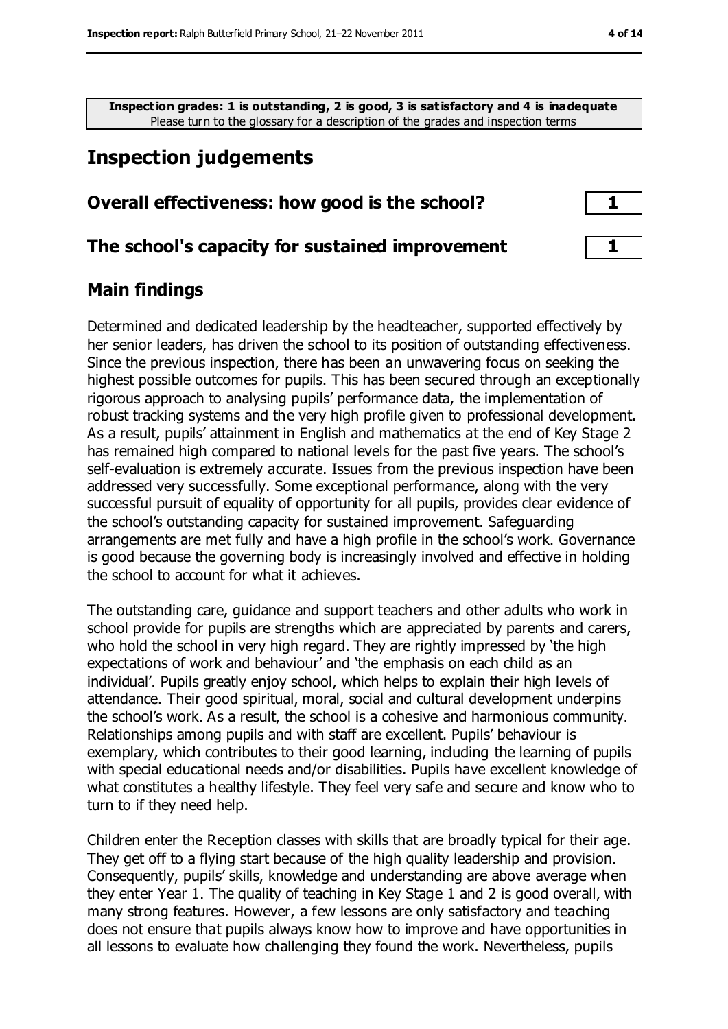**Inspection grades: 1 is outstanding, 2 is good, 3 is satisfactory and 4 is inadequate** Please turn to the glossary for a description of the grades and inspection terms

# **Inspection judgements**

#### **Overall effectiveness: how good is the school? 1**

#### **The school's capacity for sustained improvement 1**

#### **Main findings**

Determined and dedicated leadership by the headteacher, supported effectively by her senior leaders, has driven the school to its position of outstanding effectiveness. Since the previous inspection, there has been an unwavering focus on seeking the highest possible outcomes for pupils. This has been secured through an exceptionally rigorous approach to analysing pupils' performance data, the implementation of robust tracking systems and the very high profile given to professional development. As a result, pupils' attainment in English and mathematics at the end of Key Stage 2 has remained high compared to national levels for the past five years. The school's self-evaluation is extremely accurate. Issues from the previous inspection have been addressed very successfully. Some exceptional performance, along with the very successful pursuit of equality of opportunity for all pupils, provides clear evidence of the school's outstanding capacity for sustained improvement. Safeguarding arrangements are met fully and have a high profile in the school's work. Governance is good because the governing body is increasingly involved and effective in holding the school to account for what it achieves.

The outstanding care, guidance and support teachers and other adults who work in school provide for pupils are strengths which are appreciated by parents and carers, who hold the school in very high regard. They are rightly impressed by 'the high expectations of work and behaviour' and 'the emphasis on each child as an individual'. Pupils greatly enjoy school, which helps to explain their high levels of attendance. Their good spiritual, moral, social and cultural development underpins the school's work. As a result, the school is a cohesive and harmonious community. Relationships among pupils and with staff are excellent. Pupils' behaviour is exemplary, which contributes to their good learning, including the learning of pupils with special educational needs and/or disabilities. Pupils have excellent knowledge of what constitutes a healthy lifestyle. They feel very safe and secure and know who to turn to if they need help.

Children enter the Reception classes with skills that are broadly typical for their age. They get off to a flying start because of the high quality leadership and provision. Consequently, pupils' skills, knowledge and understanding are above average when they enter Year 1. The quality of teaching in Key Stage 1 and 2 is good overall, with many strong features. However, a few lessons are only satisfactory and teaching does not ensure that pupils always know how to improve and have opportunities in all lessons to evaluate how challenging they found the work. Nevertheless, pupils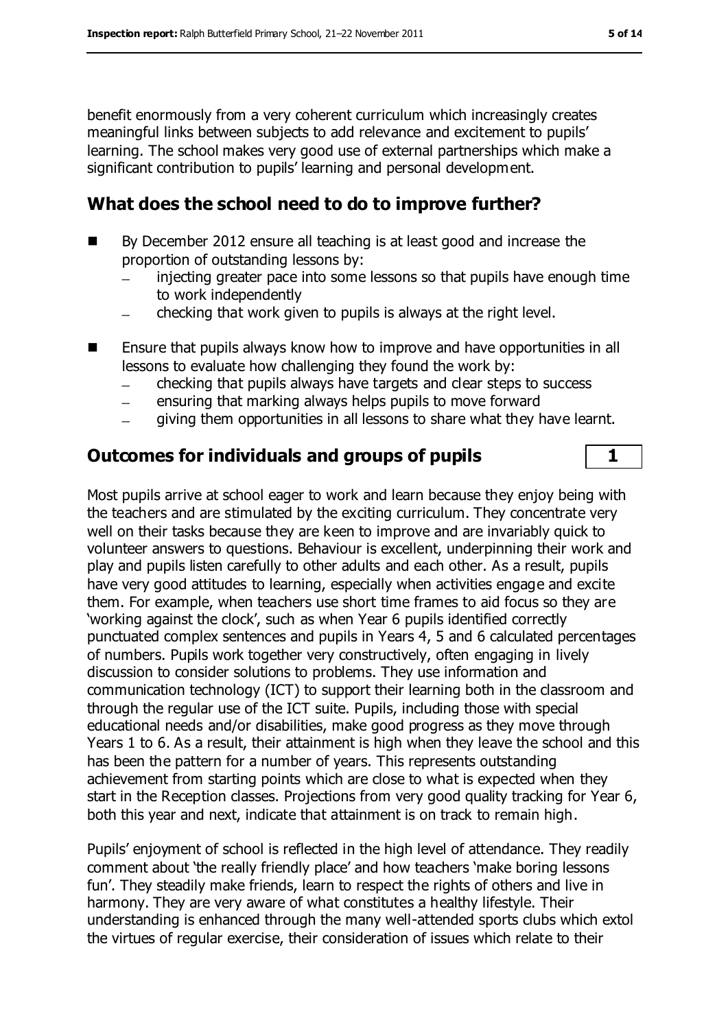benefit enormously from a very coherent curriculum which increasingly creates meaningful links between subjects to add relevance and excitement to pupils' learning. The school makes very good use of external partnerships which make a significant contribution to pupils' learning and personal development.

#### **What does the school need to do to improve further?**

- By December 2012 ensure all teaching is at least good and increase the proportion of outstanding lessons by:
	- injecting greater pace into some lessons so that pupils have enough time to work independently
	- checking that work given to pupils is always at the right level.
- Ensure that pupils always know how to improve and have opportunities in all lessons to evaluate how challenging they found the work by:
	- checking that pupils always have targets and clear steps to success
	- ensuring that marking always helps pupils to move forward  $\equiv$
	- giving them opportunities in all lessons to share what they have learnt.  $\frac{1}{2}$

#### **Outcomes for individuals and groups of pupils 1**

Most pupils arrive at school eager to work and learn because they enjoy being with the teachers and are stimulated by the exciting curriculum. They concentrate very well on their tasks because they are keen to improve and are invariably quick to volunteer answers to questions. Behaviour is excellent, underpinning their work and play and pupils listen carefully to other adults and each other. As a result, pupils have very good attitudes to learning, especially when activities engage and excite them. For example, when teachers use short time frames to aid focus so they are 'working against the clock', such as when Year 6 pupils identified correctly punctuated complex sentences and pupils in Years 4, 5 and 6 calculated percentages of numbers. Pupils work together very constructively, often engaging in lively discussion to consider solutions to problems. They use information and communication technology (ICT) to support their learning both in the classroom and through the regular use of the ICT suite. Pupils, including those with special educational needs and/or disabilities, make good progress as they move through Years 1 to 6. As a result, their attainment is high when they leave the school and this has been the pattern for a number of years. This represents outstanding achievement from starting points which are close to what is expected when they start in the Reception classes. Projections from very good quality tracking for Year 6, both this year and next, indicate that attainment is on track to remain high.

Pupils' enjoyment of school is reflected in the high level of attendance. They readily comment about 'the really friendly place' and how teachers 'make boring lessons fun'. They steadily make friends, learn to respect the rights of others and live in harmony. They are very aware of what constitutes a healthy lifestyle. Their understanding is enhanced through the many well-attended sports clubs which extol the virtues of regular exercise, their consideration of issues which relate to their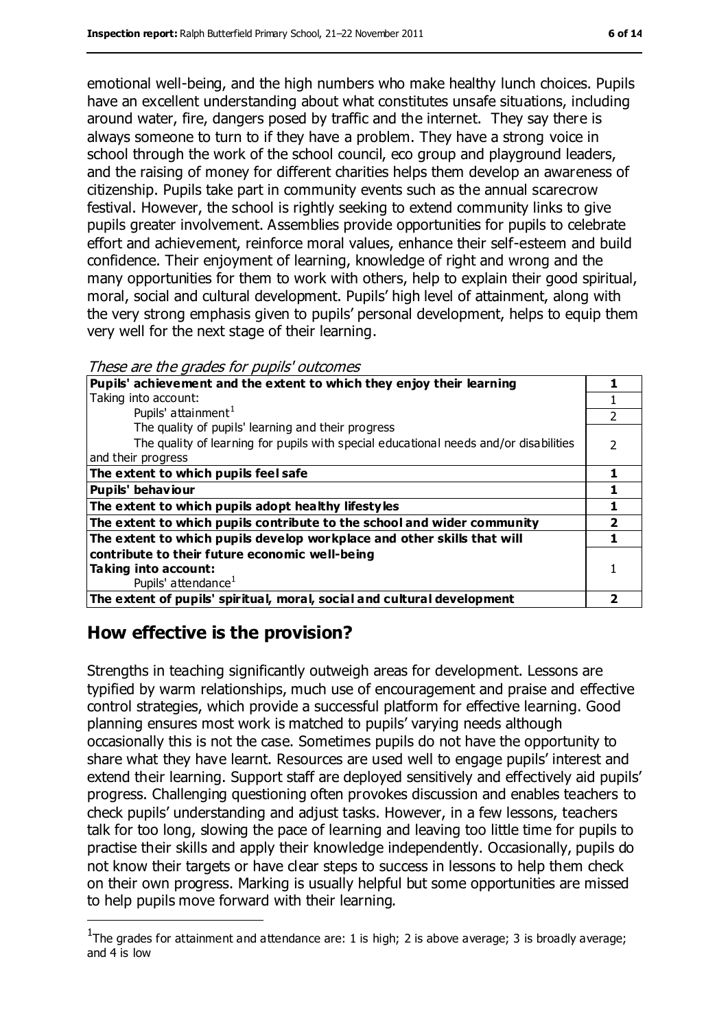emotional well-being, and the high numbers who make healthy lunch choices. Pupils have an excellent understanding about what constitutes unsafe situations, including around water, fire, dangers posed by traffic and the internet. They say there is always someone to turn to if they have a problem. They have a strong voice in school through the work of the school council, eco group and playground leaders, and the raising of money for different charities helps them develop an awareness of citizenship. Pupils take part in community events such as the annual scarecrow festival. However, the school is rightly seeking to extend community links to give pupils greater involvement. Assemblies provide opportunities for pupils to celebrate effort and achievement, reinforce moral values, enhance their self-esteem and build confidence. Their enjoyment of learning, knowledge of right and wrong and the many opportunities for them to work with others, help to explain their good spiritual, moral, social and cultural development. Pupils' high level of attainment, along with the very strong emphasis given to pupils' personal development, helps to equip them very well for the next stage of their learning.

These are the grades for pupils' outcomes

| Pupils' achievement and the extent to which they enjoy their learning                 |  |
|---------------------------------------------------------------------------------------|--|
| Taking into account:                                                                  |  |
| Pupils' attainment <sup>1</sup>                                                       |  |
| The quality of pupils' learning and their progress                                    |  |
| The quality of learning for pupils with special educational needs and/or disabilities |  |
| and their progress                                                                    |  |
| The extent to which pupils feel safe                                                  |  |
| <b>Pupils' behaviour</b>                                                              |  |
| The extent to which pupils adopt healthy lifestyles                                   |  |
| The extent to which pupils contribute to the school and wider community               |  |
| The extent to which pupils develop workplace and other skills that will               |  |
| contribute to their future economic well-being                                        |  |
| Taking into account:                                                                  |  |
| Pupils' attendance <sup>1</sup>                                                       |  |
| The extent of pupils' spiritual, moral, social and cultural development               |  |

## **How effective is the provision?**

 $\overline{a}$ 

Strengths in teaching significantly outweigh areas for development. Lessons are typified by warm relationships, much use of encouragement and praise and effective control strategies, which provide a successful platform for effective learning. Good planning ensures most work is matched to pupils' varying needs although occasionally this is not the case. Sometimes pupils do not have the opportunity to share what they have learnt. Resources are used well to engage pupils' interest and extend their learning. Support staff are deployed sensitively and effectively aid pupils' progress. Challenging questioning often provokes discussion and enables teachers to check pupils' understanding and adjust tasks. However, in a few lessons, teachers talk for too long, slowing the pace of learning and leaving too little time for pupils to practise their skills and apply their knowledge independently. Occasionally, pupils do not know their targets or have clear steps to success in lessons to help them check on their own progress. Marking is usually helpful but some opportunities are missed to help pupils move forward with their learning.

<sup>&</sup>lt;sup>1</sup>The grades for attainment and attendance are: 1 is high; 2 is above average; 3 is broadly average; and 4 is low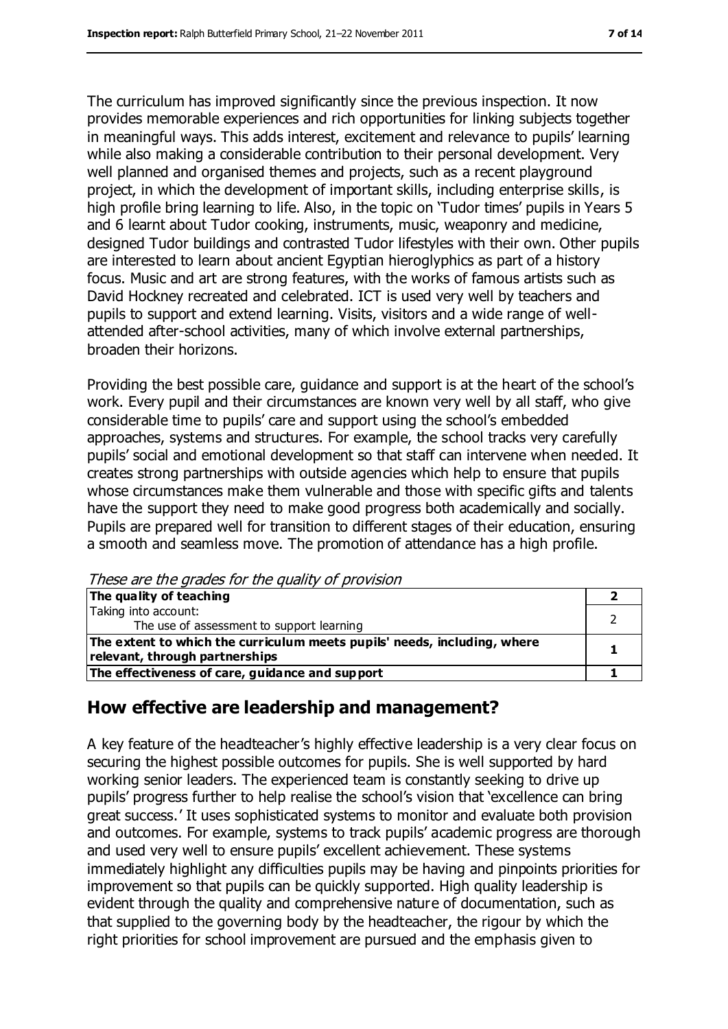The curriculum has improved significantly since the previous inspection. It now provides memorable experiences and rich opportunities for linking subjects together in meaningful ways. This adds interest, excitement and relevance to pupils' learning while also making a considerable contribution to their personal development. Very well planned and organised themes and projects, such as a recent playground project, in which the development of important skills, including enterprise skills, is high profile bring learning to life. Also, in the topic on 'Tudor times' pupils in Years 5 and 6 learnt about Tudor cooking, instruments, music, weaponry and medicine, designed Tudor buildings and contrasted Tudor lifestyles with their own. Other pupils are interested to learn about ancient Egyptian hieroglyphics as part of a history focus. Music and art are strong features, with the works of famous artists such as David Hockney recreated and celebrated. ICT is used very well by teachers and pupils to support and extend learning. Visits, visitors and a wide range of wellattended after-school activities, many of which involve external partnerships, broaden their horizons.

Providing the best possible care, guidance and support is at the heart of the school's work. Every pupil and their circumstances are known very well by all staff, who give considerable time to pupils' care and support using the school's embedded approaches, systems and structures. For example, the school tracks very carefully pupils' social and emotional development so that staff can intervene when needed. It creates strong partnerships with outside agencies which help to ensure that pupils whose circumstances make them vulnerable and those with specific gifts and talents have the support they need to make good progress both academically and socially. Pupils are prepared well for transition to different stages of their education, ensuring a smooth and seamless move. The promotion of attendance has a high profile.

These are the grades for the quality of provision

| The quality of teaching                                                  |  |
|--------------------------------------------------------------------------|--|
| Taking into account:                                                     |  |
| The use of assessment to support learning                                |  |
| The extent to which the curriculum meets pupils' needs, including, where |  |
| relevant, through partnerships                                           |  |
| The effectiveness of care, guidance and support                          |  |

## **How effective are leadership and management?**

A key feature of the headteacher's highly effective leadership is a very clear focus on securing the highest possible outcomes for pupils. She is well supported by hard working senior leaders. The experienced team is constantly seeking to drive up pupils' progress further to help realise the school's vision that 'excellence can bring great success.' It uses sophisticated systems to monitor and evaluate both provision and outcomes. For example, systems to track pupils' academic progress are thorough and used very well to ensure pupils' excellent achievement. These systems immediately highlight any difficulties pupils may be having and pinpoints priorities for improvement so that pupils can be quickly supported. High quality leadership is evident through the quality and comprehensive nature of documentation, such as that supplied to the governing body by the headteacher, the rigour by which the right priorities for school improvement are pursued and the emphasis given to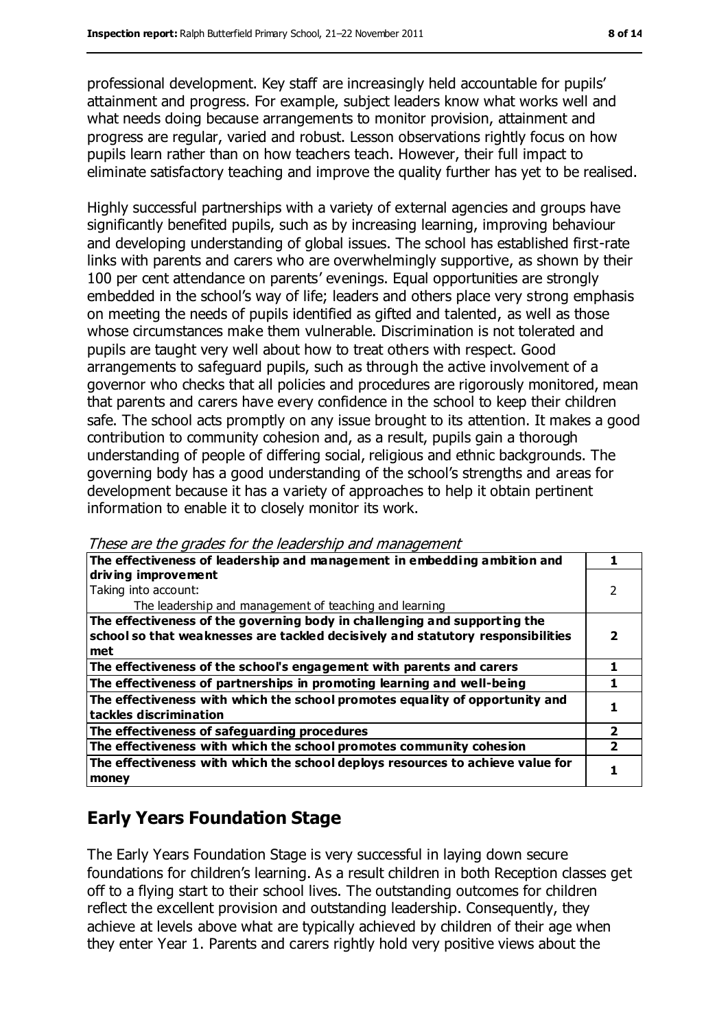professional development. Key staff are increasingly held accountable for pupils' attainment and progress. For example, subject leaders know what works well and what needs doing because arrangements to monitor provision, attainment and progress are regular, varied and robust. Lesson observations rightly focus on how pupils learn rather than on how teachers teach. However, their full impact to eliminate satisfactory teaching and improve the quality further has yet to be realised.

Highly successful partnerships with a variety of external agencies and groups have significantly benefited pupils, such as by increasing learning, improving behaviour and developing understanding of global issues. The school has established first-rate links with parents and carers who are overwhelmingly supportive, as shown by their 100 per cent attendance on parents' evenings. Equal opportunities are strongly embedded in the school's way of life; leaders and others place very strong emphasis on meeting the needs of pupils identified as gifted and talented, as well as those whose circumstances make them vulnerable. Discrimination is not tolerated and pupils are taught very well about how to treat others with respect. Good arrangements to safeguard pupils, such as through the active involvement of a governor who checks that all policies and procedures are rigorously monitored, mean that parents and carers have every confidence in the school to keep their children safe. The school acts promptly on any issue brought to its attention. It makes a good contribution to community cohesion and, as a result, pupils gain a thorough understanding of people of differing social, religious and ethnic backgrounds. The governing body has a good understanding of the school's strengths and areas for development because it has a variety of approaches to help it obtain pertinent information to enable it to closely monitor its work.

| The effectiveness of leadership and management in embedding ambition and        |   |  |
|---------------------------------------------------------------------------------|---|--|
| driving improvement                                                             |   |  |
| Taking into account:                                                            |   |  |
| The leadership and management of teaching and learning                          |   |  |
| The effectiveness of the governing body in challenging and supporting the       |   |  |
| school so that weaknesses are tackled decisively and statutory responsibilities |   |  |
| met                                                                             |   |  |
| The effectiveness of the school's engagement with parents and carers            |   |  |
| The effectiveness of partnerships in promoting learning and well-being          |   |  |
| The effectiveness with which the school promotes equality of opportunity and    |   |  |
| tackles discrimination                                                          |   |  |
| The effectiveness of safeguarding procedures                                    | 2 |  |
| The effectiveness with which the school promotes community cohesion             | י |  |
| The effectiveness with which the school deploys resources to achieve value for  |   |  |
| money                                                                           |   |  |

These are the grades for the leadership and management

## **Early Years Foundation Stage**

The Early Years Foundation Stage is very successful in laying down secure foundations for children's learning. As a result children in both Reception classes get off to a flying start to their school lives. The outstanding outcomes for children reflect the excellent provision and outstanding leadership. Consequently, they achieve at levels above what are typically achieved by children of their age when they enter Year 1. Parents and carers rightly hold very positive views about the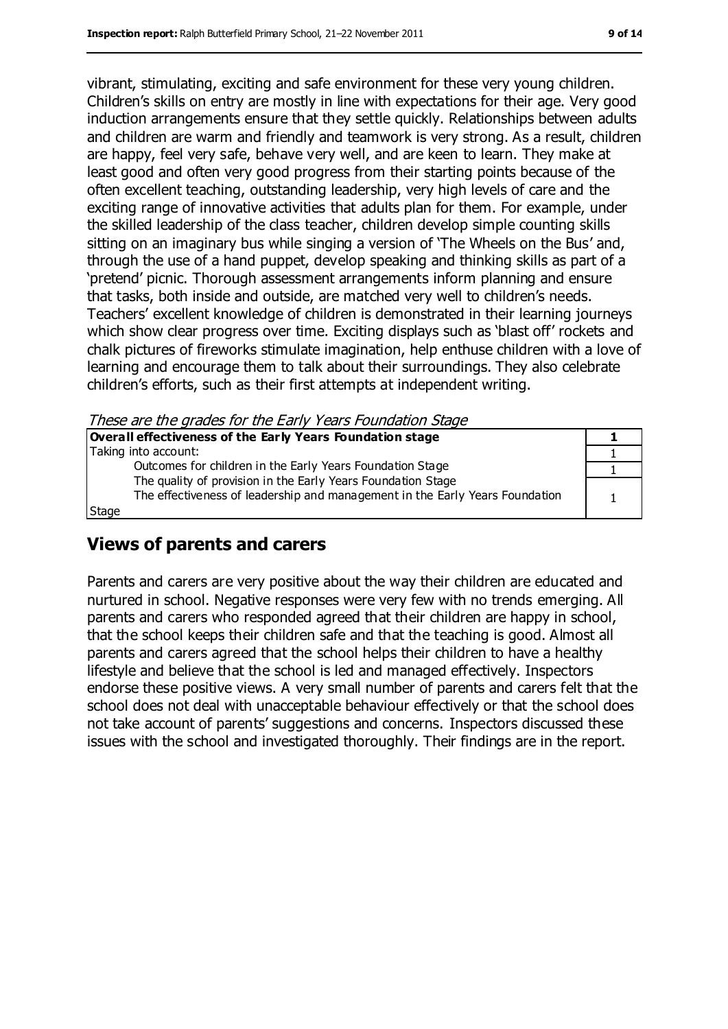vibrant, stimulating, exciting and safe environment for these very young children. Children's skills on entry are mostly in line with expectations for their age. Very good induction arrangements ensure that they settle quickly. Relationships between adults and children are warm and friendly and teamwork is very strong. As a result, children are happy, feel very safe, behave very well, and are keen to learn. They make at least good and often very good progress from their starting points because of the often excellent teaching, outstanding leadership, very high levels of care and the exciting range of innovative activities that adults plan for them. For example, under the skilled leadership of the class teacher, children develop simple counting skills sitting on an imaginary bus while singing a version of 'The Wheels on the Bus' and, through the use of a hand puppet, develop speaking and thinking skills as part of a 'pretend' picnic. Thorough assessment arrangements inform planning and ensure that tasks, both inside and outside, are matched very well to children's needs. Teachers' excellent knowledge of children is demonstrated in their learning journeys which show clear progress over time. Exciting displays such as 'blast off' rockets and chalk pictures of fireworks stimulate imagination, help enthuse children with a love of learning and encourage them to talk about their surroundings. They also celebrate children's efforts, such as their first attempts at independent writing.

These are the grades for the Early Years Foundation Stage

| Overall effectiveness of the Early Years Foundation stage                                                                                    |  |
|----------------------------------------------------------------------------------------------------------------------------------------------|--|
| Taking into account:                                                                                                                         |  |
| Outcomes for children in the Early Years Foundation Stage                                                                                    |  |
| The quality of provision in the Early Years Foundation Stage<br>The effectiveness of leadership and management in the Early Years Foundation |  |
| Stage                                                                                                                                        |  |

#### **Views of parents and carers**

Parents and carers are very positive about the way their children are educated and nurtured in school. Negative responses were very few with no trends emerging. All parents and carers who responded agreed that their children are happy in school, that the school keeps their children safe and that the teaching is good. Almost all parents and carers agreed that the school helps their children to have a healthy lifestyle and believe that the school is led and managed effectively. Inspectors endorse these positive views. A very small number of parents and carers felt that the school does not deal with unacceptable behaviour effectively or that the school does not take account of parents' suggestions and concerns. Inspectors discussed these issues with the school and investigated thoroughly. Their findings are in the report.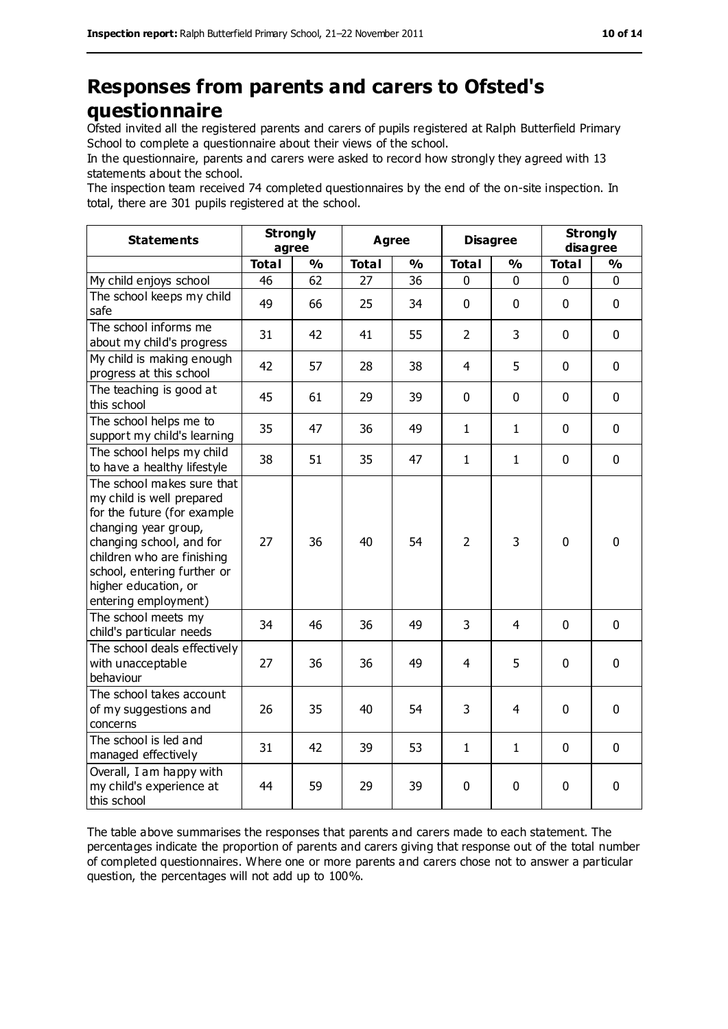# **Responses from parents and carers to Ofsted's questionnaire**

Ofsted invited all the registered parents and carers of pupils registered at Ralph Butterfield Primary School to complete a questionnaire about their views of the school.

In the questionnaire, parents and carers were asked to record how strongly they agreed with 13 statements about the school.

The inspection team received 74 completed questionnaires by the end of the on-site inspection. In total, there are 301 pupils registered at the school.

| <b>Statements</b>                                                                                                                                                                                                                                       | <b>Strongly</b><br>agree |               | <b>Agree</b> |               | <b>Disagree</b> |                | <b>Strongly</b><br>disagree |               |
|---------------------------------------------------------------------------------------------------------------------------------------------------------------------------------------------------------------------------------------------------------|--------------------------|---------------|--------------|---------------|-----------------|----------------|-----------------------------|---------------|
|                                                                                                                                                                                                                                                         | <b>Total</b>             | $\frac{9}{6}$ | <b>Total</b> | $\frac{1}{2}$ | <b>Total</b>    | $\frac{0}{0}$  | <b>Total</b>                | $\frac{9}{6}$ |
| My child enjoys school                                                                                                                                                                                                                                  | 46                       | 62            | 27           | 36            | 0               | $\mathbf 0$    | 0                           | 0             |
| The school keeps my child<br>safe                                                                                                                                                                                                                       | 49                       | 66            | 25           | 34            | 0               | $\mathbf 0$    | $\mathbf 0$                 | $\mathbf 0$   |
| The school informs me<br>about my child's progress                                                                                                                                                                                                      | 31                       | 42            | 41           | 55            | $\overline{2}$  | 3              | $\mathbf 0$                 | $\mathbf 0$   |
| My child is making enough<br>progress at this school                                                                                                                                                                                                    | 42                       | 57            | 28           | 38            | $\overline{4}$  | 5              | $\mathbf 0$                 | $\mathbf 0$   |
| The teaching is good at<br>this school                                                                                                                                                                                                                  | 45                       | 61            | 29           | 39            | 0               | $\mathbf 0$    | $\mathbf 0$                 | $\mathbf 0$   |
| The school helps me to<br>support my child's learning                                                                                                                                                                                                   | 35                       | 47            | 36           | 49            | $\mathbf{1}$    | $\mathbf{1}$   | $\mathbf 0$                 | $\mathbf 0$   |
| The school helps my child<br>to have a healthy lifestyle                                                                                                                                                                                                | 38                       | 51            | 35           | 47            | $\mathbf{1}$    | $\mathbf{1}$   | $\mathbf 0$                 | $\mathbf 0$   |
| The school makes sure that<br>my child is well prepared<br>for the future (for example<br>changing year group,<br>changing school, and for<br>children who are finishing<br>school, entering further or<br>higher education, or<br>entering employment) | 27                       | 36            | 40           | 54            | $\overline{2}$  | 3              | $\mathbf 0$                 | $\mathbf 0$   |
| The school meets my<br>child's particular needs                                                                                                                                                                                                         | 34                       | 46            | 36           | 49            | 3               | $\overline{4}$ | $\mathbf 0$                 | $\mathbf 0$   |
| The school deals effectively<br>with unacceptable<br>behaviour                                                                                                                                                                                          | 27                       | 36            | 36           | 49            | $\overline{4}$  | 5              | $\mathbf 0$                 | $\mathbf 0$   |
| The school takes account<br>of my suggestions and<br>concerns                                                                                                                                                                                           | 26                       | 35            | 40           | 54            | 3               | 4              | $\mathbf 0$                 | $\mathbf 0$   |
| The school is led and<br>managed effectively                                                                                                                                                                                                            | 31                       | 42            | 39           | 53            | $\mathbf{1}$    | $\mathbf{1}$   | $\mathbf 0$                 | $\mathbf 0$   |
| Overall, I am happy with<br>my child's experience at<br>this school                                                                                                                                                                                     | 44                       | 59            | 29           | 39            | 0               | $\mathbf 0$    | $\mathbf 0$                 | 0             |

The table above summarises the responses that parents and carers made to each statement. The percentages indicate the proportion of parents and carers giving that response out of the total number of completed questionnaires. Where one or more parents and carers chose not to answer a particular question, the percentages will not add up to 100%.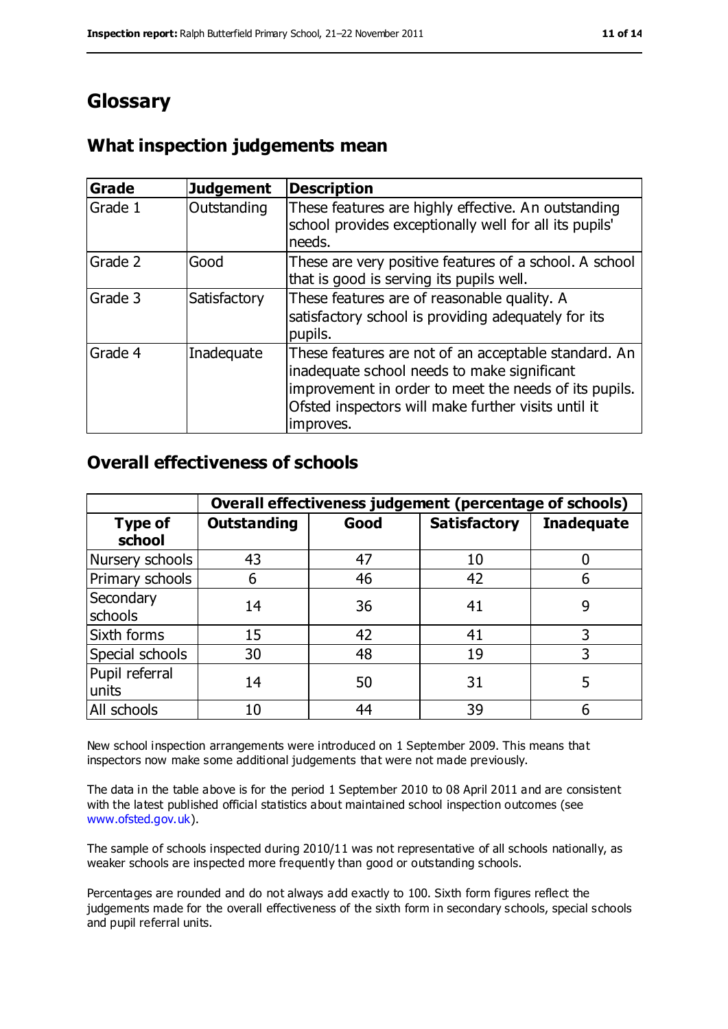# **Glossary**

## **What inspection judgements mean**

| Grade   | <b>Judgement</b> | <b>Description</b>                                                                                                                                                                                                               |
|---------|------------------|----------------------------------------------------------------------------------------------------------------------------------------------------------------------------------------------------------------------------------|
| Grade 1 | Outstanding      | These features are highly effective. An outstanding<br>school provides exceptionally well for all its pupils'<br>needs.                                                                                                          |
| Grade 2 | Good             | These are very positive features of a school. A school<br>that is good is serving its pupils well.                                                                                                                               |
| Grade 3 | Satisfactory     | These features are of reasonable quality. A<br>satisfactory school is providing adequately for its<br>pupils.                                                                                                                    |
| Grade 4 | Inadequate       | These features are not of an acceptable standard. An<br>inadequate school needs to make significant<br>improvement in order to meet the needs of its pupils.<br>Ofsted inspectors will make further visits until it<br>improves. |

#### **Overall effectiveness of schools**

|                          | Overall effectiveness judgement (percentage of schools) |      |                     |                   |
|--------------------------|---------------------------------------------------------|------|---------------------|-------------------|
| <b>Type of</b><br>school | <b>Outstanding</b>                                      | Good | <b>Satisfactory</b> | <b>Inadequate</b> |
| Nursery schools          | 43                                                      | 47   | 10                  |                   |
| Primary schools          | 6                                                       | 46   | 42                  |                   |
| Secondary<br>schools     | 14                                                      | 36   | 41                  | 9                 |
| Sixth forms              | 15                                                      | 42   | 41                  | 3                 |
| Special schools          | 30                                                      | 48   | 19                  | 3                 |
| Pupil referral<br>units  | 14                                                      | 50   | 31                  | 5                 |
| All schools              | 10                                                      | 44   | 39                  |                   |

New school inspection arrangements were introduced on 1 September 2009. This means that inspectors now make some additional judgements that were not made previously.

The data in the table above is for the period 1 September 2010 to 08 April 2011 and are consistent with the latest published official statistics about maintained school inspection outcomes (see [www.ofsted.gov.uk\)](http://www.ofsted.gov.uk/).

The sample of schools inspected during 2010/11 was not representative of all schools nationally, as weaker schools are inspected more frequently than good or outstanding schools.

Percentages are rounded and do not always add exactly to 100. Sixth form figures reflect the judgements made for the overall effectiveness of the sixth form in secondary schools, special schools and pupil referral units.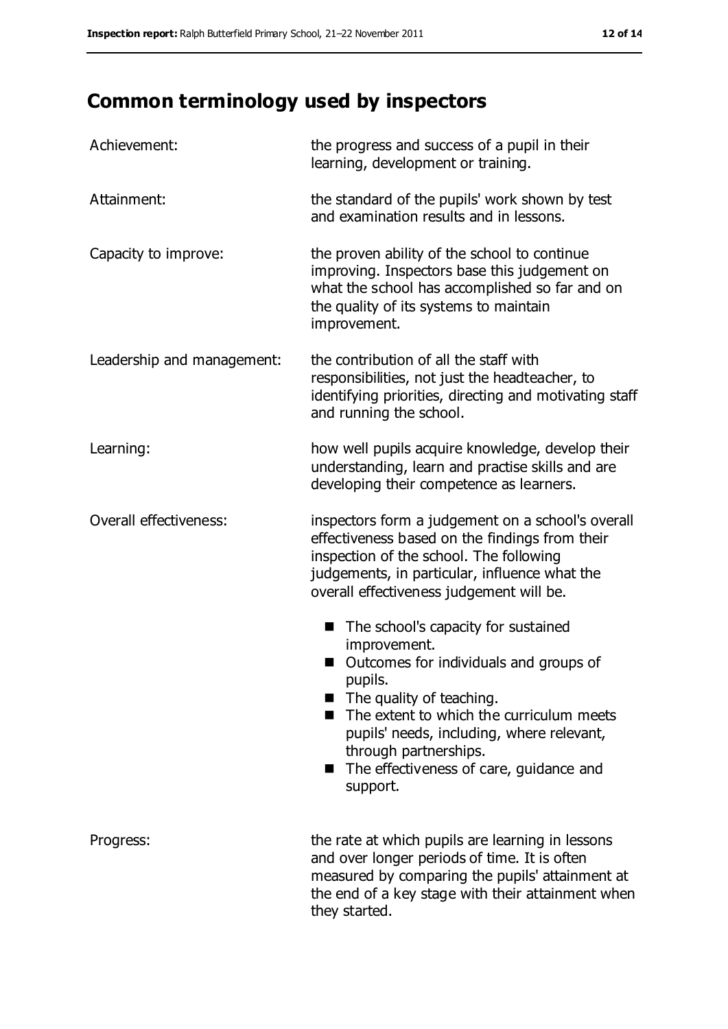# **Common terminology used by inspectors**

| Achievement:               | the progress and success of a pupil in their<br>learning, development or training.                                                                                                                                                                                                                                                     |
|----------------------------|----------------------------------------------------------------------------------------------------------------------------------------------------------------------------------------------------------------------------------------------------------------------------------------------------------------------------------------|
| Attainment:                | the standard of the pupils' work shown by test<br>and examination results and in lessons.                                                                                                                                                                                                                                              |
| Capacity to improve:       | the proven ability of the school to continue<br>improving. Inspectors base this judgement on<br>what the school has accomplished so far and on<br>the quality of its systems to maintain<br>improvement.                                                                                                                               |
| Leadership and management: | the contribution of all the staff with<br>responsibilities, not just the headteacher, to<br>identifying priorities, directing and motivating staff<br>and running the school.                                                                                                                                                          |
| Learning:                  | how well pupils acquire knowledge, develop their<br>understanding, learn and practise skills and are<br>developing their competence as learners.                                                                                                                                                                                       |
| Overall effectiveness:     | inspectors form a judgement on a school's overall<br>effectiveness based on the findings from their<br>inspection of the school. The following<br>judgements, in particular, influence what the<br>overall effectiveness judgement will be.                                                                                            |
|                            | The school's capacity for sustained<br>■<br>improvement.<br>Outcomes for individuals and groups of<br>pupils.<br>$\blacksquare$ The quality of teaching.<br>The extent to which the curriculum meets<br>pupils' needs, including, where relevant,<br>through partnerships.<br>The effectiveness of care, guidance and<br>■<br>support. |
| Progress:                  | the rate at which pupils are learning in lessons<br>and over longer periods of time. It is often<br>measured by comparing the pupils' attainment at<br>the end of a key stage with their attainment when<br>they started.                                                                                                              |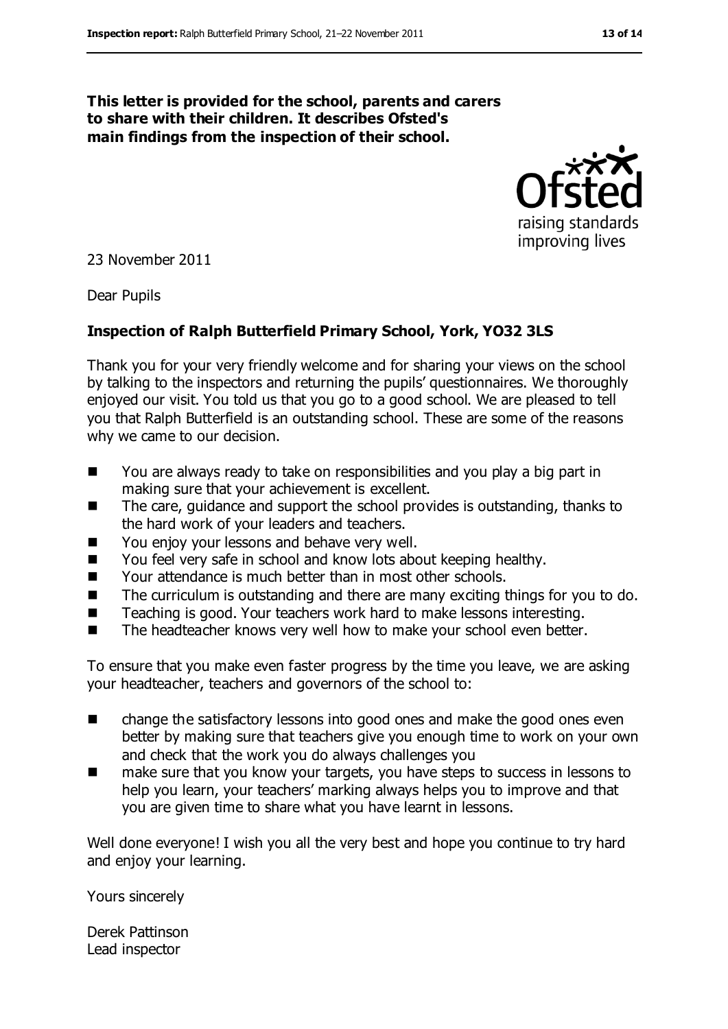#### **This letter is provided for the school, parents and carers to share with their children. It describes Ofsted's main findings from the inspection of their school.**



23 November 2011

Dear Pupils

#### **Inspection of Ralph Butterfield Primary School, York, YO32 3LS**

Thank you for your very friendly welcome and for sharing your views on the school by talking to the inspectors and returning the pupils' questionnaires. We thoroughly enjoyed our visit. You told us that you go to a good school. We are pleased to tell you that Ralph Butterfield is an outstanding school. These are some of the reasons why we came to our decision.

- You are always ready to take on responsibilities and you play a big part in making sure that your achievement is excellent.
- The care, quidance and support the school provides is outstanding, thanks to the hard work of your leaders and teachers.
- You enjoy your lessons and behave very well.
- You feel very safe in school and know lots about keeping healthy.
- Your attendance is much better than in most other schools.
- $\blacksquare$  The curriculum is outstanding and there are many exciting things for you to do.
- Teaching is good. Your teachers work hard to make lessons interesting.
- The headteacher knows very well how to make your school even better.

To ensure that you make even faster progress by the time you leave, we are asking your headteacher, teachers and governors of the school to:

- change the satisfactory lessons into good ones and make the good ones even better by making sure that teachers give you enough time to work on your own and check that the work you do always challenges you
- make sure that you know your targets, you have steps to success in lessons to help you learn, your teachers' marking always helps you to improve and that you are given time to share what you have learnt in lessons.

Well done everyone! I wish you all the very best and hope you continue to try hard and enjoy your learning.

Yours sincerely

Derek Pattinson Lead inspector